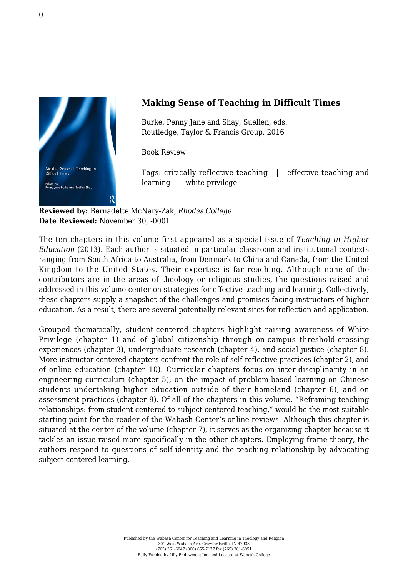

## **Making Sense of Teaching in Difficult Times**

Burke, Penny Jane and Shay, Suellen, eds. [Routledge, Taylor & Francis Group, 2016](https://www.routledge.com/Making-Sense-of-Teaching-in-Difficult-Times/Burke-Shay/p/book/9781138184909)

Book Review

Tags: critically reflective teaching | effective teaching and learning | white privilege

**Reviewed by:** Bernadette McNary-Zak, *Rhodes College* **Date Reviewed:** November 30, -0001

The ten chapters in this volume first appeared as a special issue of *Teaching in Higher Education* (2013). Each author is situated in particular classroom and institutional contexts ranging from South Africa to Australia, from Denmark to China and Canada, from the United Kingdom to the United States. Their expertise is far reaching. Although none of the contributors are in the areas of theology or religious studies, the questions raised and addressed in this volume center on strategies for effective teaching and learning. Collectively, these chapters supply a snapshot of the challenges and promises facing instructors of higher education. As a result, there are several potentially relevant sites for reflection and application.

Grouped thematically, student-centered chapters highlight raising awareness of White Privilege (chapter 1) and of global citizenship through on-campus threshold-crossing experiences (chapter 3), undergraduate research (chapter 4), and social justice (chapter 8). More instructor-centered chapters confront the role of self-reflective practices (chapter 2), and of online education (chapter 10). Curricular chapters focus on inter-disciplinarity in an engineering curriculum (chapter 5), on the impact of problem-based learning on Chinese students undertaking higher education outside of their homeland (chapter 6), and on assessment practices (chapter 9). Of all of the chapters in this volume, "Reframing teaching relationships: from student-centered to subject-centered teaching," would be the most suitable starting point for the reader of the Wabash Center's online reviews. Although this chapter is situated at the center of the volume (chapter 7), it serves as the organizing chapter because it tackles an issue raised more specifically in the other chapters. Employing frame theory, the authors respond to questions of self-identity and the teaching relationship by advocating subject-centered learning.